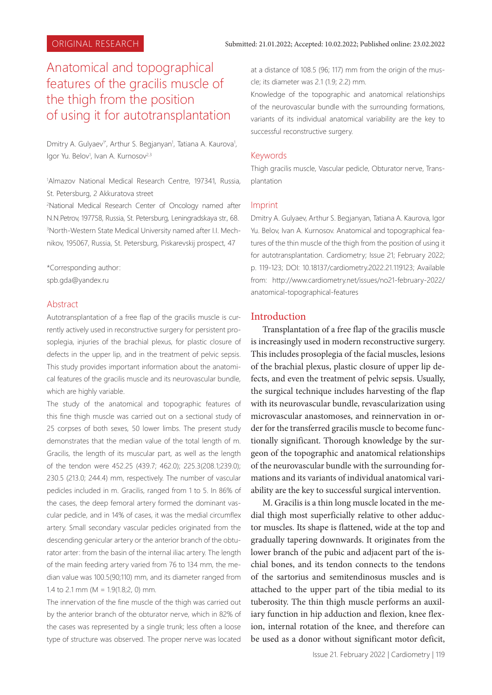# Anatomical and topographical features of the gracilis muscle of the thigh from the position of using it for autotransplantation

Dmitry A. Gulyaev<sup>1\*</sup>, Arthur S. Begjanyan<sup>1</sup>, Tatiana A. Kaurova<sup>1</sup>, Igor Yu. Belov<sup>1</sup>, Ivan A. Kurnosov<sup>2,3</sup>

1 Almazov National Medical Research Centre, 197341, Russia, St. Petersburg, 2 Akkuratova street

2 National Medical Research Center of Oncology named after N.N.Petrov, 197758, Russia, St. Petersburg, Leningradskaya str., 68. 3 North-Western State Medical University named after I.I. Mechnikov, 195067, Russia, St. Petersburg, Piskarevskij prospect, 47

\*Corresponding author: spb.gda@yandex.ru

# Abstract

Autotransplantation of a free flap of the gracilis muscle is currently actively used in reconstructive surgery for persistent prosoplegia, injuries of the brachial plexus, for plastic closure of defects in the upper lip, and in the treatment of pelvic sepsis. This study provides important information about the anatomical features of the gracilis muscle and its neurovascular bundle, which are highly variable.

The study of the anatomical and topographic features of this fine thigh muscle was carried out on a sectional study of 25 corpses of both sexes, 50 lower limbs. The present study demonstrates that the median value of the total length of m. Gracilis, the length of its muscular part, as well as the length of the tendon were 452.25 (439.7; 462.0); 225.3(208.1;239.0); 230.5 (213.0; 244.4) mm, respectively. The number of vascular pedicles included in m. Gracilis, ranged from 1 to 5. In 86% of the cases, the deep femoral artery formed the dominant vascular pedicle, and in 14% of cases, it was the medial circumflex artery. Small secondary vascular pedicles originated from the descending genicular artery or the anterior branch of the obturator arter: from the basin of the internal iliac artery. The length of the main feeding artery varied from 76 to 134 mm, the median value was 100.5(90;110) mm, and its diameter ranged from 1.4 to 2.1 mm ( $M = 1.9(1.8; 2, 0)$  mm.

The innervation of the fine muscle of the thigh was carried out by the anterior branch of the obturator nerve, which in 82% of the cases was represented by a single trunk; less often a loose type of structure was observed. The proper nerve was located

at a distance of 108.5 (96; 117) mm from the origin of the muscle; its diameter was 2.1 (1.9; 2.2) mm.

Knowledge of the topographic and anatomical relationships of the neurovascular bundle with the surrounding formations, variants of its individual anatomical variability are the key to successful reconstructive surgery.

#### Keywords

Thigh gracilis muscle, Vascular pedicle, Obturator nerve, Transplantation

#### Imprint

Dmitry A. Gulyaev, Arthur S. Begjanyan, Tatiana A. Kaurova, Igor Yu. Belov, Ivan A. Kurnosov. Anatomical and topographical features of the thin muscle of the thigh from the position of using it for autotransplantation. Cardiometry; Issue 21; February 2022; p. 119-123; DOI: 10.18137/cardiometry.2022.21.119123; Available from: http://www.cardiometry.net/issues/no21-february-2022/ anatomical-topographical-features

### **Introduction**

Transplantation of a free flap of the gracilis muscle is increasingly used in modern reconstructive surgery. This includes prosoplegia of the facial muscles, lesions of the brachial plexus, plastic closure of upper lip defects, and even the treatment of pelvic sepsis. Usually, the surgical technique includes harvesting of the flap with its neurovascular bundle, revascularization using microvascular anastomoses, and reinnervation in order for the transferred gracilis muscle to become functionally significant. Thorough knowledge by the surgeon of the topographic and anatomical relationships of the neurovascular bundle with the surrounding formations and its variants of individual anatomical variability are the key to successful surgical intervention.

M. Gracilis is a thin long muscle located in the medial thigh most superficially relative to other adductor muscles. Its shape is flattened, wide at the top and gradually tapering downwards. It originates from the lower branch of the pubic and adjacent part of the ischial bones, and its tendon connects to the tendons of the sartorius and semitendinosus muscles and is attached to the upper part of the tibia medial to its tuberosity. The thin thigh muscle performs an auxiliary function in hip adduction and flexion, knee flexion, internal rotation of the knee, and therefore can be used as a donor without significant motor deficit,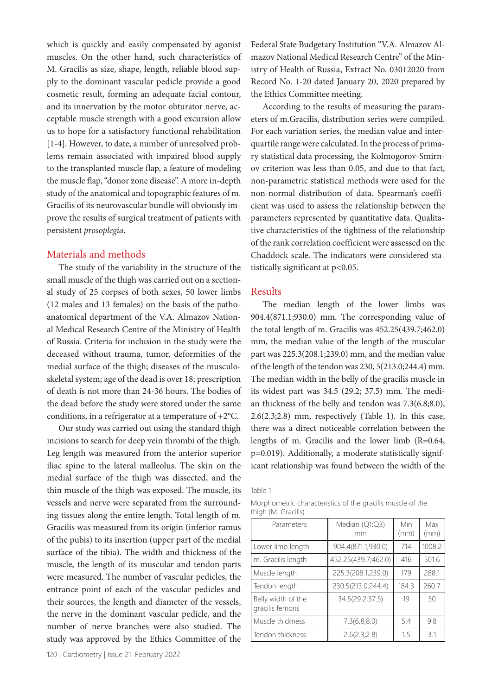which is quickly and easily compensated by agonist muscles. On the other hand, such characteristics of M. Gracilis as size, shape, length, reliable blood supply to the dominant vascular pedicle provide a good cosmetic result, forming an adequate facial contour, and its innervation by the motor obturator nerve, acceptable muscle strength with a good excursion allow us to hope for a satisfactory functional rehabilitation [1-4]. However, to date, a number of unresolved problems remain associated with impaired blood supply to the transplanted muscle flap, a feature of modeling the muscle flap, "donor zone disease". A more in-depth study of the anatomical and topographic features of m. Gracilis of its neurovascular bundle will obviously improve the results of surgical treatment of patients with persistent *prosoplegia***.**

# Materials and methods

The study of the variability in the structure of the small muscle of the thigh was carried out on a sectional study of 25 corpses of both sexes, 50 lower limbs (12 males and 13 females) on the basis of the pathoanatomical department of the V.A. Almazov National Medical Research Centre of the Ministry of Health of Russia. Criteria for inclusion in the study were the deceased without trauma, tumor, deformities of the medial surface of the thigh; diseases of the musculoskeletal system; age of the dead is over 18; prescription of death is not more than 24-36 hours. The bodies of the dead before the study were stored under the same conditions, in a refrigerator at a temperature of +2°C.

Our study was carried out using the standard thigh incisions to search for deep vein thrombi of the thigh. Leg length was measured from the anterior superior iliac spine to the lateral malleolus. The skin on the medial surface of the thigh was dissected, and the thin muscle of the thigh was exposed. The muscle, its vessels and nerve were separated from the surrounding tissues along the entire length. Total length of m. Gracilis was measured from its origin (inferior ramus of the pubis) to its insertion (upper part of the medial surface of the tibia). The width and thickness of the muscle, the length of its muscular and tendon parts were measured. The number of vascular pedicles, the entrance point of each of the vascular pedicles and their sources, the length and diameter of the vessels, the nerve in the dominant vascular pedicle, and the number of nerve branches were also studied. The study was approved by the Ethics Committee of the

Federal State Budgetary Institution "V.A. Almazov Almazov National Medical Research Centre" of the Ministry of Health of Russia, Extract No. 03012020 from Record No. 1-20 dated January 20, 2020 prepared by the Ethics Committee meeting.

According to the results of measuring the parameters of m.Gracilis, distribution series were compiled. For each variation series, the median value and interquartile range were calculated. In the process of primary statistical data processing, the Kolmogorov-Smirnov criterion was less than 0.05, and due to that fact, non-parametric statistical methods were used for the non-normal distribution of data. Spearman's coefficient was used to assess the relationship between the parameters represented by quantitative data. Qualitative characteristics of the tightness of the relationship of the rank correlation coefficient were assessed on the Chaddock scale. The indicators were considered statistically significant at p<0.05.

### Results

The median length of the lower limbs was 904.4(871.1;930.0) mm. The corresponding value of the total length of m. Gracilis was 452.25(439.7;462.0) mm, the median value of the length of the muscular part was 225.3(208.1;239.0) mm, and the median value of the length of the tendon was 230, 5(213.0;244.4) mm. The median width in the belly of the gracilis muscle in its widest part was 34.5 (29.2; 37.5) mm. The median thickness of the belly and tendon was 7.3(6.8;8.0), 2.6(2.3;2.8) mm, respectively (Table 1). In this case, there was a direct noticeable correlation between the lengths of m. Gracilis and the lower limb (R=0.64, p=0.019). Additionally, a moderate statistically significant relationship was found between the width of the

Table 1

| Morphometric characteristics of the gracilis muscle of the |  |  |  |
|------------------------------------------------------------|--|--|--|
| thigh (M. Gracilis)                                        |  |  |  |

| Parameters                             | Median (Q1;Q3)<br>mm | Min<br>(mm) | Max<br>(mm) |
|----------------------------------------|----------------------|-------------|-------------|
| Lower limb length                      | 904.4(871.1;930.0)   | 714         | 1008.2      |
| m. Gracilis length                     | 452.25(439.7;462.0)  | 416         | 501.6       |
| Muscle length                          | 225.3(208.1;239.0)   | 179         | 288.1       |
| Tendon length                          | 230.5(213.0;244.4)   | 184.3       | 260.7       |
| Belly width of the<br>gracilis femoris | 34.5(29.2;37.5)      | 19          | 50          |
| Muscle thickness                       | 7.3(6.8;8.0)         | 5.4         | 9.8         |
| Tendon thickness                       | 2.6(2.3;2.8)         | 1.5         | 3.1         |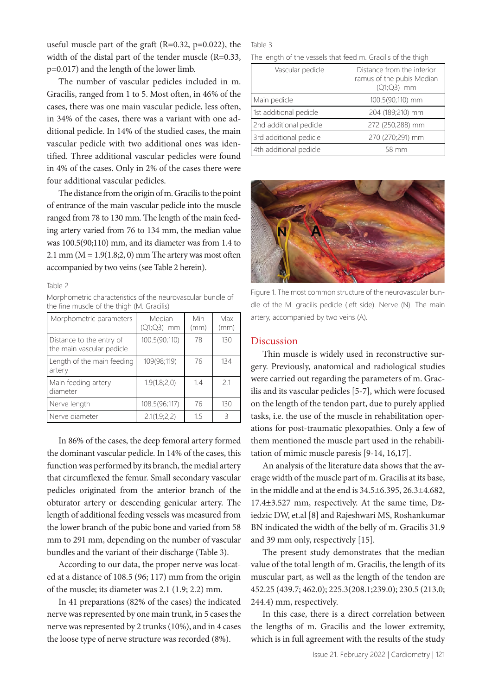useful muscle part of the graft (R=0.32, p=0.022), the width of the distal part of the tender muscle (R=0.33, p=0.017) and the length of the lower limb.

The number of vascular pedicles included in m. Gracilis, ranged from 1 to 5. Most often, in 46% of the cases, there was one main vascular pedicle, less often, in 34% of the cases, there was a variant with one additional pedicle. In 14% of the studied cases, the main vascular pedicle with two additional ones was identified. Three additional vascular pedicles were found in 4% of the cases. Only in 2% of the cases there were four additional vascular pedicles.

The distance from the origin of m. Gracilis to the point of entrance of the main vascular pedicle into the muscle ranged from 78 to 130 mm. The length of the main feeding artery varied from 76 to 134 mm, the median value was 100.5(90;110) mm, and its diameter was from 1.4 to 2.1 mm ( $M = 1.9(1.8; 2, 0)$  mm The artery was most often accompanied by two veins (see Table 2 herein).

#### Table 2

Morphometric characteristics of the neurovascular bundle of the fine muscle of the thigh (M. Gracilis)

| Morphometric parameters                               | Median<br>(Q1;Q3) mm | Min<br>(mm) | Max<br>(mm) |
|-------------------------------------------------------|----------------------|-------------|-------------|
| Distance to the entry of<br>the main vascular pedicle | 100.5(90;110)        | 78          | 130         |
| Length of the main feeding<br>artery                  | 109(98;119)          | 76          | 134         |
| Main feeding artery<br>diameter                       | 1.9(1,8;2,0)         | 1.4         | 21          |
| Nerve length                                          | 108.5(96;117)        | 76          | 130         |
| Nerve diameter                                        | 2.1(1, 9; 2, 2)      | 1.5         | ζ           |

In 86% of the cases, the deep femoral artery formed the dominant vascular pedicle. In 14% of the cases, this function was performed by its branch, the medial artery that circumflexed the femur. Small secondary vascular pedicles originated from the anterior branch of the obturator artery or descending genicular artery. The length of additional feeding vessels was measured from the lower branch of the pubic bone and varied from 58 mm to 291 mm, depending on the number of vascular bundles and the variant of their discharge (Table 3).

According to our data, the proper nerve was located at a distance of 108.5 (96; 117) mm from the origin of the muscle; its diameter was 2.1 (1.9; 2.2) mm.

In 41 preparations (82% of the cases) the indicated nerve was represented by one main trunk, in 5 cases the nerve was represented by 2 trunks (10%), and in 4 cases the loose type of nerve structure was recorded (8%).

### Table 3

The length of the vessels that feed m. Gracilis of the thigh

| Vascular pedicle       | Distance from the inferior<br>ramus of the pubis Median<br>(Q1;Q3) mm |
|------------------------|-----------------------------------------------------------------------|
| Main pedicle           | 100.5(90;110) mm                                                      |
| 1st additional pedicle | 204 (189;210) mm                                                      |
| 2nd additional pedicle | 272 (250;288) mm                                                      |
| 3rd additional pedicle | 270 (270;291) mm                                                      |
| 4th additional pedicle | 58 mm                                                                 |



Figure 1. The most common structure of the neurovascular bundle of the M. gracilis pedicle (left side). Nerve (N). The main artery, accompanied by two veins (A).

# Discussion

Thin muscle is widely used in reconstructive surgery. Previously, anatomical and radiological studies were carried out regarding the parameters of m. Gracilis and its vascular pedicles [5-7], which were focused on the length of the tendon part, due to purely applied tasks, i.e. the use of the muscle in rehabilitation operations for post-traumatic plexopathies. Only a few of them mentioned the muscle part used in the rehabilitation of mimic muscle paresis [9-14, 16,17].

An analysis of the literature data shows that the average width of the muscle part of m. Gracilis at its base, in the middle and at the end is 34.5±6.395, 26.3±4.682, 17.4±3.527 mm, respectively. At the same time, Dziedzic DW, et.al [8] and Rajeshwari MS, Roshankumar BN indicated the width of the belly of m. Gracilis 31.9 and 39 mm only, respectively [15].

The present study demonstrates that the median value of the total length of m. Gracilis, the length of its muscular part, as well as the length of the tendon are 452.25 (439.7; 462.0); 225.3(208.1;239.0); 230.5 (213.0; 244.4) mm, respectively.

In this case, there is a direct correlation between the lengths of m. Gracilis and the lower extremity, which is in full agreement with the results of the study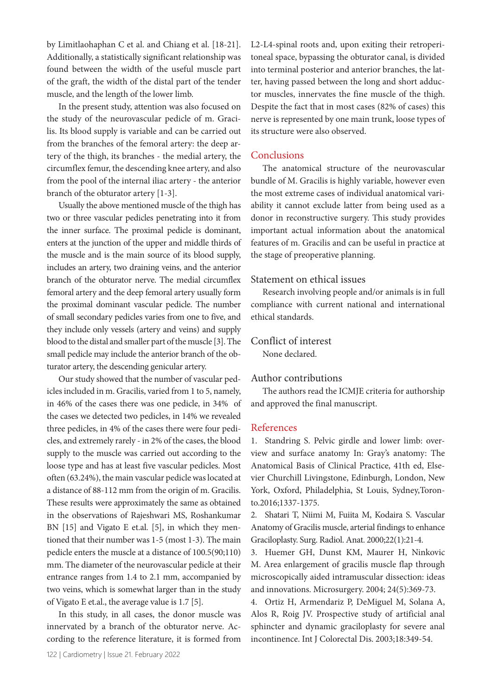by Limitlaohaphan C et al. and Chiang et al. [18-21]. Additionally, a statistically significant relationship was found between the width of the useful muscle part of the graft, the width of the distal part of the tender muscle, and the length of the lower limb.

In the present study, attention was also focused on the study of the neurovascular pedicle of m. Gracilis. Its blood supply is variable and can be carried out from the branches of the femoral artery: the deep artery of the thigh, its branches - the medial artery, the circumflex femur, the descending knee artery, and also from the pool of the internal iliac artery - the anterior branch of the obturator artery [1-3].

Usually the above mentioned muscle of the thigh has two or three vascular pedicles penetrating into it from the inner surface. The proximal pedicle is dominant, enters at the junction of the upper and middle thirds of the muscle and is the main source of its blood supply, includes an artery, two draining veins, and the anterior branch of the obturator nerve. The medial circumflex femoral artery and the deep femoral artery usually form the proximal dominant vascular pedicle. The number of small secondary pedicles varies from one to five, and they include only vessels (artery and veins) and supply blood to the distal and smaller part of the muscle [3]. The small pedicle may include the anterior branch of the obturator artery, the descending genicular artery.

Our study showed that the number of vascular pedicles included in m. Gracilis, varied from 1 to 5, namely, in 46% of the cases there was one pedicle, in 34% of the cases we detected two pedicles, in 14% we revealed three pedicles, in 4% of the cases there were four pedicles, and extremely rarely - in 2% of the cases, the blood supply to the muscle was carried out according to the loose type and has at least five vascular pedicles. Most often (63.24%), the main vascular pedicle was located at a distance of 88-112 mm from the origin of m. Gracilis. These results were approximately the same as obtained in the observations of Rajeshwari MS, Roshankumar BN [15] and Vigato E et.al. [5], in which they mentioned that their number was 1-5 (most 1-3). The main pedicle enters the muscle at a distance of 100.5(90;110) mm. The diameter of the neurovascular pedicle at their entrance ranges from 1.4 to 2.1 mm, accompanied by two veins, which is somewhat larger than in the study of Vigato E et.al., the average value is 1.7 [5].

In this study, in all cases, the donor muscle was innervated by a branch of the obturator nerve. According to the reference literature, it is formed from L2-L4-spinal roots and, upon exiting their retroperitoneal space, bypassing the obturator canal, is divided into terminal posterior and anterior branches, the latter, having passed between the long and short adductor muscles, innervates the fine muscle of the thigh. Despite the fact that in most cases (82% of cases) this nerve is represented by one main trunk, loose types of its structure were also observed.

# **Conclusions**

The anatomical structure of the neurovascular bundle of M. Gracilis is highly variable, however even the most extreme cases of individual anatomical variability it cannot exclude latter from being used as a donor in reconstructive surgery. This study provides important actual information about the anatomical features of m. Gracilis and can be useful in practice at the stage of preoperative planning.

# Statement on ethical issues

Research involving people and/or animals is in full compliance with current national and international ethical standards.

# Conflict of interest

None declared.

# Author contributions

The authors read the ICMJE criteria for authorship and approved the final manuscript.

# References

1. Standring S. Pelvic girdle and lower limb: overview and surface anatomy In: Gray's anatomy: The Anatomical Basis of Clinical Practice, 41th ed, Elsevier Churchill Livingstone, Edinburgh, London, New York, Oxford, Philadelphia, St Louis, Sydney,Toronto.2016;1337-1375.

2. Shatari T, Niimi M, Fuiita M, Kodaira S. Vascular Anatomy of Gracilis muscle, arterial findings to enhance Graciloplasty. Surg. Radiol. Anat. 2000;22(1):21-4.

3. Huemer GH, Dunst KM, Maurer H, Ninkovic M. Area enlargement of gracilis muscle flap through microscopically aided intramuscular dissection: ideas and innovations. Microsurgery. 2004; 24(5):369-73.

4. Ortiz H, Armendariz P, DeMiguel M, Solana A, Alos R, Roig JV. Prospective study of artificial anal sphincter and dynamic graciloplasty for severe anal incontinence. Int J Colorectal Dis. 2003;18:349-54.